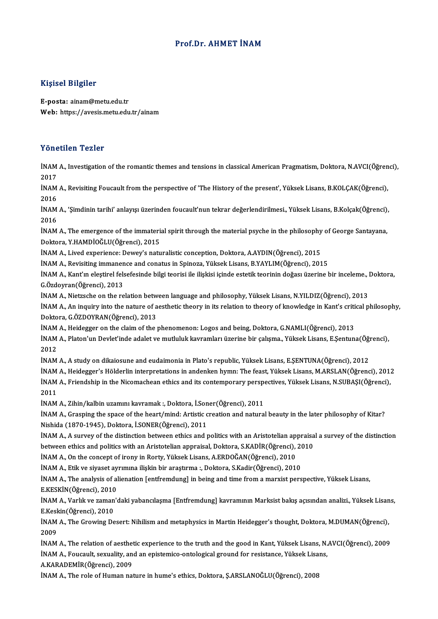## Prof.Dr. AHMET İNAM

## Kişisel Bilgiler

E-posta: ainam@metu.edu.tr Web: https://avesis.metu.edu.tr/ainam

## Yönetilen Tezler

**Yönetilen Tezler**<br>İNAM A., Investigation of the romantic themes and tensions in classical American Pragmatism, Doktora, N.AVCI(Öğrenci),<br>2017 2017 İNAM A., Investigation of the romantic themes and tensions in classical American Pragmatism, Doktora, N.AVCI(Öğren<br>2017<br>İNAM A., Revisiting Foucault from the perspective of 'The History of the present', Yüksek Lisans, B.KO

2017<br>İNAM<br>2016<br>İNAM İNAM A., Revisiting Foucault from the perspective of 'The History of the present', Yüksek Lisans, B.KOLÇAK(Öğrenci),<br>2016<br>İNAM A., 'Şimdinin tarihi' anlayışı üzerinden foucault'nun tekrar değerlendirilmesi., Yüksek Lisans,

2016<br>İNAM<br>2016<br>İNAM İNAM A., 'Şimdinin tarihi' anlayışı üzerinden foucault'nun tekrar değerlendirilmesi., Yüksek Lisans, B.Kolçak(Öğrenci)<br>2016<br>İNAM A., The emergence of the immaterial spirit through the material psyche in the philosophy of G

2016<br>İNAM A., The emergence of the immaterial spirit through the material psyche in the philosophy of George Santayana,<br>Doktora, Y.HAMDİOĞLU(Öğrenci), 2015 İNAM A., The emergence of the immaterial spirit through the material psyche in the philosophy<br>Doktora, Y.HAMDİOĞLU(Öğrenci), 2015<br>İNAM A., Lived experience: Dewey's naturalistic conception, Doktora, A.AYDIN(Öğrenci), 2015<br> Doktora, Y.HAMDİOĞLU(Öğrenci), 2015<br>İNAM A., Lived experience: Dewey's naturalistic conception, Doktora, A.AYDIN(Öğrenci), 2015<br>İNAM A., Revisiting immanence and conatus in Spinoza, Yüksek Lisans, B.YAYLIM(Öğrenci), 2015<br>İ

İNAM A., Revisiting immanence and conatus in Spinoza, Yüksek Lisans, B.YAYLIM(Öğrenci), 2015

İNAM A., Kant'ın eleştirel felsefesinde bilgi teorisi ile ilişkisi içinde estetik teorinin doğası üzerine bir inceleme., Doktora,<br>G.Özdoyran(Öğrenci), 2013 İNAM A., Kant'ın eleştirel felsefesinde bilgi teorisi ile ilişkisi içinde estetik teorinin doğası üzerine bir inceleme., l<br>G.Özdoyran(Öğrenci), 2013<br>İNAM A., Nietzsche on the relation between language and philosophy, Yükse

G.Özdoyran(Öğrenci), 2013<br>İNAM A., Nietzsche on the relation between language and philosophy, Yüksek Lisans, N.YILDIZ(Öğrenci), 2013<br>İNAM A., An inquiry into the nature of aesthetic theory in its relation to theory of know INAM A., Nietzsche on the relation betw<br>INAM A., An inquiry into the nature of a<br>Doktora, G.ÖZDOYRAN(Öğrenci), 2013<br>INAM A., Heidegger en the claim of the J İNAM A., An inquiry into the nature of aesthetic theory in its relation to theory of knowledge in Kant's criti<br>Doktora, G.ÖZDOYRAN(Öğrenci), 2013<br>İNAM A., Heidegger on the claim of the phenomenon: Logos and being, Doktora,

Doktora, G.ÖZDOYRAN(Öğrenci), 2013<br>İNAM A., Heidegger on the claim of the phenomenon: Logos and being, Doktora, G.NAMLI(Öğrenci), 2013<br>İNAM A., Platon'un Devlet'inde adalet ve mutluluk kavramları üzerine bir çalışma., Yüks İNAM A., Heidegger on the claim of the phenomenon: Logos and being, Doktora, G.NAMLI(Öğrenci), 2013<br>İNAM A., Platon'un Devlet'inde adalet ve mutluluk kavramları üzerine bir çalışma., Yüksek Lisans, E.Şentun<br>2012 İNAM A., Platon'un Devlet'inde adalet ve mutluluk kavramları üzerine bir çalışma., Yüksek Lisans, E.Şentuna(Öğr<br>2012<br>İNAM A., A study on dikaiosune and eudaimonia in Plato's republic, Yüksek Lisans, E.ŞENTUNA(Öğrenci), 201

İNAM A., A study on dikaiosune and eudaimonia in Plato's republic, Yüksek Lisans, E.ŞENTUNA(Öğrenci), 2012<br>İNAM A., Heidegger's Hölderlin interpretations in andenken hymn: The feast, Yüksek Lisans, M.ARSLAN(Öğrenci), 2012

İNAM A., A study on dikaiosune and eudaimonia in Plato's republic, Yüksek Lisans, E.ŞENTUNA(Öğrenci), 2012<br>İNAM A., Heidegger's Hölderlin interpretations in andenken hymn: The feast, Yüksek Lisans, M.ARSLAN(Öğrenci), 201<br>İ İNAM<br>İNAM<br>2011<br>İNAM İNAM A., Friendship in the Nicomachean ethics and its contemporary perspe<br>2011<br>İNAM A., Zihin/kalbin uzamını kavramak :, Doktora, İ.Soner(Öğrenci), 2011<br>İNAM A., Crasning the space of the beart (mind) Artistie greation and

2011<br>İNAM A., Zihin/kalbin uzamını kavramak :, Doktora, İ.Soner(Öğrenci), 2011<br>İNAM A., Grasping the space of the heart/mind: Artistic creation and natural beauty in the later philosophy of Kitar?<br>Nishida (1970-1945), Dokt INAM A., Zihin/kalbin uzamını kavramak :, Doktora, İ.Son<br>İNAM A., Grasping the space of the heart/mind: Artistic c<br>Nishida (1870-1945), Doktora, İ.SONER(Öğrenci), 2011<br>İNAM A. A survay of the distinction hetween ethics and İNAM A., Grasping the space of the heart/mind: Artistic creation and natural beauty in the later philosophy of Kitar?<br>Nishida (1870-1945), Doktora, İ.SONER(Öğrenci), 2011<br>İNAM A., A survey of the distinction between ethics

Nishida (1870-1945), Doktora, İ.SONER(Öğrenci), 2011<br>İNAM A., A survey of the distinction between ethics and politics with an Aristotelian appraisa<br>between ethics and politics with an Aristotelian appraisal, Doktora, S.KAD İNAM A., A survey of the distinction between ethics and politics with an Aristotelian approximately between ethics and politics with an Aristotelian appraisal, Doktora, S.KADİR(Öğrenci),<br>İNAM A., On the concept of irony in between ethics and politics with an Aristotelian appraisal, Doktora, S.KADİR(Öğrenci), 2010<br>İNAM A., On the concept of irony in Rorty, Yüksek Lisans, A.ERDOĞAN(Öğrenci), 2010<br>İNAM A., Etik ve siyaset ayrımına ilişkin bir a

İNAM A., On the concept of irony in Rorty, Yüksek Lisans, A.ERDOĞAN(Öğrenci), 2010<br>İNAM A., Etik ve siyaset ayrımına ilişkin bir araştırma :, Doktora, S.Kadir(Öğrenci), 2010<br>İNAM A., The analysis of alienation [entfremdung İNAM A., Etik ve siyaset ay<br>İNAM A., The analysis of al<br>E.KESKİN(Öğrenci), 2010<br>İNAM A. Varlık ve zaman'ı İNAM A., The analysis of alienation [entfremdung] in being and time from a marxist perspective, Yüksek Lisans,<br>E.KESKİN(Öğrenci), 2010<br>İNAM A., Varlık ve zaman'daki yabancılaşma [Entfremdung] kavramının Marksist bakış açıs

E.KESKİN(Öğrenci), 2010<br>İNAM A., Varlık ve zaman'daki yabancılaşma [Entfremdung] kavramının Marksist bakış açısından analizi., Yüksek Lisan<br>E.Keskin(Öğrenci), 2010<br>İNAM A., The Growing Desert: Nihilism and metaphysics in M İNAM A., Varlık ve zaman'daki yabancılaşma [Entfremdung] kavramının Marksist bakış açısından analizi., Yüksek Lisans,<br>E.Keskin(Öğrenci), 2010<br>İNAM A., The Growing Desert: Nihilism and metaphysics in Martin Heidegger's thou E.Keskin(Öğrenci), 2010

İNAM A., The Growing Desert: Nihilism and metaphysics in Martin Heidegger's thought, Doktora, M.DUMAN(Öğrenci),<br>2009<br>İNAM A., The relation of aesthetic experience to the truth and the good in Kant, Yüksek Lisans, N.AVCI(Öğ

2009<br>İNAM A., The relation of aesthetic experience to the truth and the good in Kant, Yüksek Lisans, N.<br>İNAM A., Foucault, sexuality, and an epistemico-ontological ground for resistance, Yüksek Lisans,<br>A.KARADEMİR(Öğrensi) **İNAM A., The relation of aesthet<br>İNAM A., Foucault, sexuality, an<br>A.KARADEMİR(Öğrenci), 2009<br>İNAM A. The rele of Human pat** İNAM A., Foucault, sexuality, and an epistemico-ontological ground for resistance, Yüksek Lisans,<br>A.KARADEMİR(Öğrenci), 2009<br>İNAM A., The role of Human nature in hume's ethics, Doktora, S.ARSLANOĞLU(Öğrenci), 2008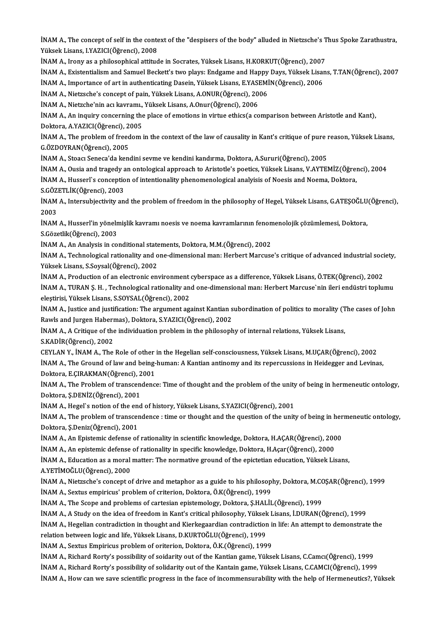İNAM A., The concept of self in the context of the "despisers of the body" alluded in Nietzsche's Thus Spoke Zarathustra,<br>Yükaek Lisens, UVAZICI(Öğmənsi), 2009 İNAM A., The concept of self in the conte<br>Yüksek Lisans, I.YAZICI(Öğrenci), 2008<br>İNAM A. Irony as a philosophicel ettind İNAM A., The concept of self in the context of the "despisers of the body" alluded in Nietzsche's T<br>Yüksek Lisans, I.YAZICI(Öğrenci), 2008<br>İNAM A., Irony as a philosophical attitude in Socrates, Yüksek Lisans, H.KORKUT(Öğr Yüksek Lisans, I.YAZICI(Öğrenci), 2008<br>İNAM A., Irony as a philosophical attitude in Socrates, Yüksek Lisans, H.KORKUT(Öğrenci), 2007<br>İNAM A., Existentialism and Samuel Beckett's two plays: Endgame and Happy Days, Yüksek L

İNAM A., Irony as a philosophical attitude in Socrates, Yüksek Lisans, H.KORKUT(Öğrenci), 2007<br>İNAM A., Existentialism and Samuel Beckett's two plays: Endgame and Happy Days, Yüksek Lisa<br>İNAM A., Importance of art in authe İNAM A., Existentialism and Samuel Beckett's two plays: Endgame and Happy<br>İNAM A., Importance of art in authenticating Dasein, Yüksek Lisans, E.YASEMİ<br>İNAM A., Nietzsche's concept of pain, Yüksek Lisans, A.ONUR(Öğrenci), 2

İNAM A., Importance of art in authenticating Dasein, Yüksek Lisans, E.YASEMİN(Öğrenci), 2006<br>İNAM A., Nietzsche's concept of pain, Yüksek Lisans, A.ONUR(Öğrenci), 2006

İNAM A., Nietzche'nin acı kavramı., Yüksek Lisans, A.Onur(Öğrenci), 2006

İNAM A., An inquiry concerning the place of emotions in virtue ethics(a comparison between Aristotle and Kant),<br>Doktora, A.YAZICI(Öğrenci), 2005 İNAM A., An inquiry concerning the place of emotions in virtue ethics(a comparison between Aristotle and Kant),<br>Doktora, A.YAZICI(Öğrenci), 2005<br>İNAM A., The problem of freedom in the context of the law of causality in Kan

Doktora, A.YAZICI(Öğrenci), 2<br>İNAM A., The problem of freed<br>G.ÖZDOYRAN(Öğrenci), 2005<br>İNAM A., Stoag Sanaga'da kanı İNAM A., The problem of freedom in the context of the law of causality in Kant's critique of pure 1<br>G.ÖZDOYRAN(Öğrenci), 2005<br>İNAM A., Stoacı Seneca'da kendini sevme ve kendini kandırma, Doktora, A.Sururi(Öğrenci), 2005<br>İN

G.ÖZDOYRAN(Öğrenci), 2005<br>İNAM A., Stoacı Seneca'da kendini sevme ve kendini kandırma, Doktora, A.Sururi(Öğrenci), 2005<br>İNAM A., Ousia and tragedy an ontological approach to Aristotle's poetics, Yüksek Lisans, V.AYTEMİZ(Öğ

İNAM A., Stoacı Seneca'da kendini sevme ve kendini kandırma, Doktora, A.Sururi(Öğrenci), 2005<br>İNAM A., Ousia and tragedy an ontological approach to Aristotle's poetics, Yüksek Lisans, V.AYTEMİZ(Öğreı<br>İNAM A., Husserl`s con İNAM A., Ousia and tragedy a<br>İNAM A., Husserl`s conceptio<br>S.GÖZETLİK(Öğrenci), 2003<br>İNAM A. Intersubiectivity an

İNAM A., Husserl`s conception of intentionality phenomenological analyisis of Noesis and Noema, Doktora,<br>S.GÖZETLİK(Öğrenci), 2003<br>İNAM A., Intersubjectivity and the problem of freedom in the philosophy of Hegel, Yüksek Li S.GÖZETLİK(Öğrenci), 2003<br>İNAM A., Intersubjectivity ar<br>2003 İNAM A., Intersubjectivity and the problem of freedom in the philosophy of Hegel, Yüksek Lisans, G.ATEŞOĞLU<br>2003<br>İNAM A., Husserl'in yönelmişlik kavramı noesis ve noema kavramlarının fenomenolojik çözümlemesi, Doktora,<br>S.C

İNAM A., Husserl'in yönelmişlik kavramı noesis ve noema kavramlarının fenomenolojik çözümlemesi, Doktora,<br>S.Gözetlik(Öğrenci), 2003 İNAM A., Husserl'in yönelmişlik kavramı noesis ve noema kavramlarının fenon<br>S.Gözetlik(Öğrenci), 2003<br>İNAM A., An Analysis in conditional statements, Doktora, M.M.(Öğrenci), 2002<br>İNAM A., Technologisel rationality and one

İNAM A., Technological rationality and one-dimensional man: Herbert Marcuse's critique of advanced industrial society,<br>Yüksek Lisans, S.Soysal(Öğrenci), 2002 INAM A., An Analysis in conditional state<br>INAM A., Technological rationality and o<br>Yüksek Lisans, S.Soysal(Öğrenci), 2002<br>INAM A., Production of an electronic em İNAM A., Technological rationality and one-dimensional man: Herbert Marcuse's critique of advanced industrial soci<br>Yüksek Lisans, S.Soysal(Öğrenci), 2002<br>İNAM A., Production of an electronic environment cyberspace as a dif

Yüksek Lisans, S.Soysal(Öğrenci), 2002<br>İNAM A., Production of an electronic environment cyberspace as a difference, Yüksek Lisans, Ö.TEK(Öğrenci), 2002<br>İNAM A., TURAN Ş. H. , Technological rationality and one-dimensional m iNAM A., Production of an electronic environment<br>iNAM A., TURAN Ş. H. , Technological rationality an<br>eleştirisi, Yüksek Lisans, S.SOYSAL(Öğrenci), 2002<br>iNAM A. Justice and justification. The argument ag İNAM A., TURAN Ş. H. , Technological rationality and one-dimensional man: Herbert Marcuse`nin ileri endüstri toplumu<br>eleştirisi, Yüksek Lisans, S.SOYSAL(Öğrenci), 2002<br>İNAM A., Justice and justification: The argument again

eleştirisi, Yüksek Lisans, S.SOYSAL(Öğrenci), 2002<br>İNAM A., Justice and justification: The argument against Kantian s<br>Rawls and Jurgen Habermas), Doktora, S.YAZICI(Öğrenci), 2002<br>İNAM A. A Gritiaus of the individuation pro İNAM A., Justice and justification: The argument against Kantian subordination of politics to morality (T<br>Rawls and Jurgen Habermas), Doktora, S.YAZICI(Öğrenci), 2002<br>İNAM A., A Critique of the individuation problem in the

Rawls and Jurgen Habermas), Doktora, S.YAZICI(Öğrenci), 2002<br>İNAM A., A Critique of the individuation problem in the philosophy of internal relations, Yüksek Lisans,<br>S.KADİR(Öğrenci), 2002

CEYLAN Y., İNAM A., The Role of other in the Hegelian self-consciousness, Yüksek Lisans, M.UÇAR(Öğrenci), 2002 S.KADİR(Öğrenci), 2002<br>CEYLAN Y., İNAM A., The Role of other in the Hegelian self-consciousness, Yüksek Lisans, M.UÇAR(Öğrenci), 2002<br>İNAM A., The Ground of law and being-human: A Kantian antinomy and its repercussions in CEYLAN Y., İNAM A., The Role of other<br>İNAM A., The Ground of law and being-<br>Doktora, E.ÇIRAKMAN(Öğrenci), 2001<br>İNAM A. The Preblem of transsandansı İNAM A., The Ground of law and being-human: A Kantian antinomy and its repercussions in Heidegger and Levinas,<br>Doktora, E.ÇIRAKMAN(Öğrenci), 2001<br>İNAM A., The Problem of transcendence: Time of thought and the problem of th

Doktora, E.ÇIRAKMAN(Öğrenci), 2001<br>İNAM A., The Problem of transcendenc<br>Doktora, Ş.DENİZ(Öğrenci), 2001 INAM A., The Problem of transcendence: Time of thought and the problem of the unity<br>Doktora, Ş.DENİZ(Öğrenci), 2001<br>İNAM A., Hegel`s notion of the end of history, Yüksek Lisans, S.YAZICI(Öğrenci), 2001<br>İNAM A., The problem

İNAM A., Hegel's notion of the end of history, Yüksek Lisans, S.YAZICI(Öğrenci), 2001

İNAM A., The problem of transcendence : time or thought and the question of the unity of being in hermeneutic ontology,<br>Doktora, Ş.Deniz(Öğrenci), 2001 İNAM A., The problem of transcendence : time or thought and the question of the unity of being in her<br>Doktora, Ş.Deniz(Öğrenci), 2001<br>İNAM A., An Epistemic defense of rationality in scientific knowledge, Doktora, H.AÇAR(Öğ Doktora, Ş.Deniz(Öğrenci), 2001<br>İNAM A., An Epistemic defense of rationality in scientific knowledge, Doktora, H.AÇAR(Öğrenci), 200<br>İNAM A., An epistemic defense of rationality in specific knowledge, Doktora, H.Açar(Öğrenc

İNAM A., An Epistemic defense of rationality in scientific knowledge, Doktora, H.AÇAR(Öğrenci), 2000<br>İNAM A., An epistemic defense of rationality in specific knowledge, Doktora, H.Açar(Öğrenci), 2000<br>İNAM A., Education as İNAM A., An epistemic defense of rationality in specific knowledge, Doktora, H.Açar(Öğrenci), 2000<br>İNAM A., Education as a moral matter: The normative ground of the epictetian education, Yüksek Lisans,<br>A.YETİMOĞLU(Öğrenci)

İNAM A., Education as a moral matter: The normative ground of the epictetian education, Yüksek Lisans,<br>A.YETİMOĞLU(Öğrenci), 2000<br>İNAM A., Nietzsche's concept of drive and metaphor as a guide to his philosophy, Doktora, M. A.YETİMOĞLU(Öğrenci), 2000<br>İNAM A., Nietzsche's concept of drive and metaphor as a guide to his philosopi<br>İNAM A., Sextus empiricus' problem of criterion, Doktora, Ö.K(Öğrenci), 1999<br>İNAM A., The Scene and problems of cert İNAM A., Nietzsche's concept of drive and metaphor as a guide to his philosophy, Doktora, M.C.<br>İNAM A., Sextus empiricus' problem of criterion, Doktora, Ö.K(Öğrenci), 1999<br>İNAM A., The Scope and problems of cartesian epist İNAM A., Sextus empiricus' problem of criterion, Doktora, Ö.K(Öğrenci), 1999<br>İNAM A., The Scope and problems of cartesian epistemology, Doktora, Ş.HALİL(Öğrenci), 1999<br>İNAM A., A Study on the idea of freedom in Kant's crit

İNAM A., The Scope and problems of cartesian epistemology, Doktora, Ş.HALİL(Öğrenci), 1999<br>İNAM A., A Study on the idea of freedom in Kant's critical philosophy, Yüksek Lisans, İ.DURAN(Öğrenci), 1999<br>İNAM A., Hegelian cont INAM A., A Study on the idea of freedom in Kant's critical philosophy, Yüksek<br>INAM A., Hegelian contradiction in thought and Kierkegaardian contradiction<br>relation between logic and life, Yüksek Lisans, D.KURTOĞLU(Öğrenci), İNAM A., Hegelian contradiction in thought and Kierkegaardian contradiction in<br>relation between logic and life, Yüksek Lisans, D.KURTOĞLU(Öğrenci), 1999<br>İNAM A., Sextus Empiricus problem of oriterion, Doktora, Ö.K.(Öğrenci relation between logic and life, Yüksek Lisans, D.KURTOĞLU(Öğrenci), 1999<br>İNAM A., Sextus Empiricus problem of oriterion, Doktora, Ö.K.(Öğrenci), 1999<br>İNAM A., Richard Rorty's possibility of soidarity out of the Kantian ga

INAM A., Richard Rorty's possibility of solidarity out of the Kantain game, Yüksek Lisans, C.CAMCI(Öğrenci), 1999

INAM A., How can we save scientific progress in the face of incommensurability with the help of Hermeneutics?, Yüksek